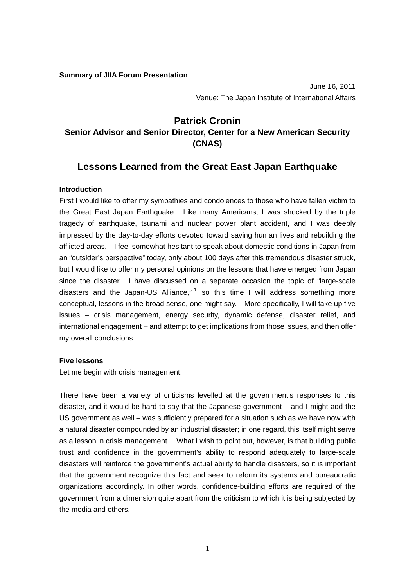**Summary of JIIA Forum Presentation** 

June 16, 2011 Venue: The Japan Institute of International Affairs

### **Patrick Cronin**

## **Senior Advisor and Senior Director, Center for a New American Security (CNAS)**

# **Lessons Learned from the Great East Japan Earthquake**

#### **Introduction**

First I would like to offer my sympathies and condolences to those who have fallen victim to the Great East Japan Earthquake. Like many Americans, I was shocked by the triple tragedy of earthquake, tsunami and nuclear power plant accident, and I was deeply impressed by the day-to-day efforts devoted toward saving human lives and rebuilding the afflicted areas. I feel somewhat hesitant to speak about domestic conditions in Japan from an "outsider's perspective" today, only about 100 days after this tremendous disaster struck, but I would like to offer my personal opinions on the lessons that have emerged from Japan since the disaster. I have discussed on a separate occasion the topic of "large-scale disasters and the Japan-US Alliance," $1$  so this time I will address something more conceptual, lessons in the broad sense, one might say. More specifically, I will take up five issues – crisis management, energy security, dynamic defense, disaster relief, and international engagement – and attempt to get implications from those issues, and then offer my overall conclusions.

#### **Five lessons**

Let me begin with crisis management.

There have been a variety of criticisms levelled at the government's responses to this disaster, and it would be hard to say that the Japanese government – and I might add the US government as well – was sufficiently prepared for a situation such as we have now with a natural disaster compounded by an industrial disaster; in one regard, this itself might serve as a lesson in crisis management. What I wish to point out, however, is that building public trust and confidence in the government's ability to respond adequately to large-scale disasters will reinforce the government's actual ability to handle disasters, so it is important that the government recognize this fact and seek to reform its systems and bureaucratic organizations accordingly. In other words, confidence-building efforts are required of the government from a dimension quite apart from the criticism to which it is being subjected by the media and others.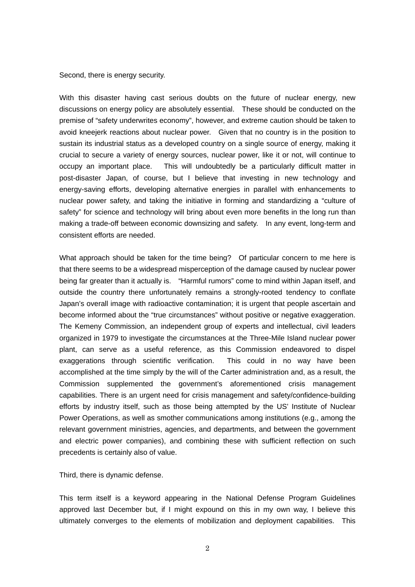Second, there is energy security.

With this disaster having cast serious doubts on the future of nuclear energy, new discussions on energy policy are absolutely essential. These should be conducted on the premise of "safety underwrites economy", however, and extreme caution should be taken to avoid kneejerk reactions about nuclear power. Given that no country is in the position to sustain its industrial status as a developed country on a single source of energy, making it crucial to secure a variety of energy sources, nuclear power, like it or not, will continue to occupy an important place. This will undoubtedly be a particularly difficult matter in post-disaster Japan, of course, but I believe that investing in new technology and energy-saving efforts, developing alternative energies in parallel with enhancements to nuclear power safety, and taking the initiative in forming and standardizing a "culture of safety" for science and technology will bring about even more benefits in the long run than making a trade-off between economic downsizing and safety. In any event, long-term and consistent efforts are needed.

What approach should be taken for the time being? Of particular concern to me here is that there seems to be a widespread misperception of the damage caused by nuclear power being far greater than it actually is. "Harmful rumors" come to mind within Japan itself, and outside the country there unfortunately remains a strongly-rooted tendency to conflate Japan's overall image with radioactive contamination; it is urgent that people ascertain and become informed about the "true circumstances" without positive or negative exaggeration. The Kemeny Commission, an independent group of experts and intellectual, civil leaders organized in 1979 to investigate the circumstances at the Three-Mile Island nuclear power plant, can serve as a useful reference, as this Commission endeavored to dispel exaggerations through scientific verification. This could in no way have been accomplished at the time simply by the will of the Carter administration and, as a result, the Commission supplemented the government's aforementioned crisis management capabilities. There is an urgent need for crisis management and safety/confidence-building efforts by industry itself, such as those being attempted by the US' Institute of Nuclear Power Operations, as well as smother communications among institutions (e.g., among the relevant government ministries, agencies, and departments, and between the government and electric power companies), and combining these with sufficient reflection on such precedents is certainly also of value.

Third, there is dynamic defense.

This term itself is a keyword appearing in the National Defense Program Guidelines approved last December but, if I might expound on this in my own way, I believe this ultimately converges to the elements of mobilization and deployment capabilities. This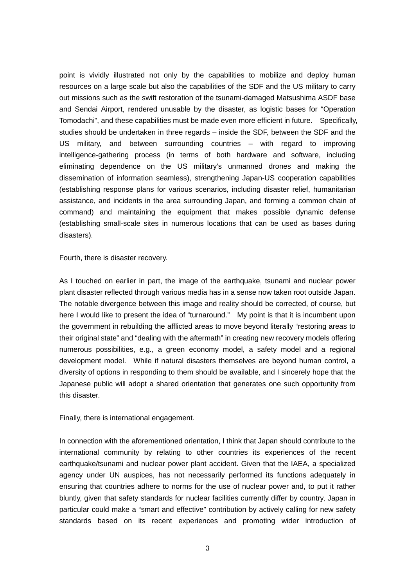point is vividly illustrated not only by the capabilities to mobilize and deploy human resources on a large scale but also the capabilities of the SDF and the US military to carry out missions such as the swift restoration of the tsunami-damaged Matsushima ASDF base and Sendai Airport, rendered unusable by the disaster, as logistic bases for "Operation Tomodachi", and these capabilities must be made even more efficient in future. Specifically, studies should be undertaken in three regards – inside the SDF, between the SDF and the US military, and between surrounding countries – with regard to improving intelligence-gathering process (in terms of both hardware and software, including eliminating dependence on the US military's unmanned drones and making the dissemination of information seamless), strengthening Japan-US cooperation capabilities (establishing response plans for various scenarios, including disaster relief, humanitarian assistance, and incidents in the area surrounding Japan, and forming a common chain of command) and maintaining the equipment that makes possible dynamic defense (establishing small-scale sites in numerous locations that can be used as bases during disasters).

Fourth, there is disaster recovery.

As I touched on earlier in part, the image of the earthquake, tsunami and nuclear power plant disaster reflected through various media has in a sense now taken root outside Japan. The notable divergence between this image and reality should be corrected, of course, but here I would like to present the idea of "turnaround." My point is that it is incumbent upon the government in rebuilding the afflicted areas to move beyond literally "restoring areas to their original state" and "dealing with the aftermath" in creating new recovery models offering numerous possibilities, e.g., a green economy model, a safety model and a regional development model. While if natural disasters themselves are beyond human control, a diversity of options in responding to them should be available, and I sincerely hope that the Japanese public will adopt a shared orientation that generates one such opportunity from this disaster.

Finally, there is international engagement.

In connection with the aforementioned orientation, I think that Japan should contribute to the international community by relating to other countries its experiences of the recent earthquake/tsunami and nuclear power plant accident. Given that the IAEA, a specialized agency under UN auspices, has not necessarily performed its functions adequately in ensuring that countries adhere to norms for the use of nuclear power and, to put it rather bluntly, given that safety standards for nuclear facilities currently differ by country, Japan in particular could make a "smart and effective" contribution by actively calling for new safety standards based on its recent experiences and promoting wider introduction of